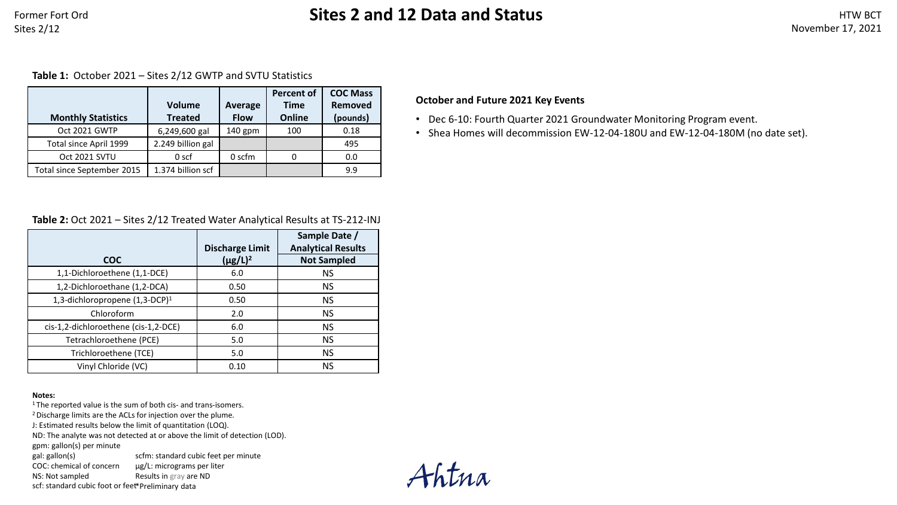# Former Fort Ord **Sites 2 and 12 Data and Status**

**Table 1:** October 2021 – Sites 2/12 GWTP and SVTU Statistics

|                            | <b>Volume</b>     | <b>COC Mass</b><br><b>Percent of</b><br>Removed<br><b>Time</b><br>Average |        |          |
|----------------------------|-------------------|---------------------------------------------------------------------------|--------|----------|
| <b>Monthly Statistics</b>  | <b>Treated</b>    | <b>Flow</b>                                                               | Online | (pounds) |
| Oct 2021 GWTP              | 6,249,600 gal     | $140$ gpm                                                                 | 100    | 0.18     |
| Total since April 1999     | 2.249 billion gal |                                                                           |        | 495      |
| Oct 2021 SVTU              | 0 <sub>scf</sub>  | 0 scfm                                                                    |        | 0.0      |
| Total since September 2015 | 1.374 billion scf |                                                                           |        | 9.9      |

### **Table 2:** Oct 2021 – Sites 2/12 Treated Water Analytical Results at TS-212-INJ

|                                            | <b>Discharge Limit</b> | Sample Date /<br><b>Analytical Results</b> |  |  |  |
|--------------------------------------------|------------------------|--------------------------------------------|--|--|--|
| <b>COC</b>                                 | $(\mu g/L)^2$          | <b>Not Sampled</b>                         |  |  |  |
| 1,1-Dichloroethene (1,1-DCE)               | 6.0                    | <b>NS</b>                                  |  |  |  |
| 1,2-Dichloroethane (1,2-DCA)               | 0.50                   | <b>NS</b>                                  |  |  |  |
| 1,3-dichloropropene (1,3-DCP) <sup>1</sup> | 0.50                   | <b>NS</b>                                  |  |  |  |
| Chloroform                                 | 2.0                    | <b>NS</b>                                  |  |  |  |
| cis-1,2-dichloroethene (cis-1,2-DCE)       | 6.0                    | <b>NS</b>                                  |  |  |  |
| Tetrachloroethene (PCE)                    | 5.0                    | <b>NS</b>                                  |  |  |  |
| Trichloroethene (TCE)                      | 5.0                    | <b>NS</b>                                  |  |  |  |
| Vinyl Chloride (VC)                        | 0.10                   | <b>NS</b>                                  |  |  |  |

#### **Notes:**

<sup>1</sup> The reported value is the sum of both cis- and trans-isomers.

2 Discharge limits are the ACLs for injection over the plume.

J: Estimated results below the limit of quantitation (LOQ).

ND: The analyte was not detected at or above the limit of detection (LOD).

gpm: gallon(s) per minute

gal: gallon(s) scfm: standard cubic feet per minute

COC: chemical of concern NS: Not sampled µg/L: micrograms per liter Results in gray are ND

scf: standard cubic foot or feet \*Preliminary data

Ahtna

### **October and Future 2021 Key Events**

- Dec 6-10: Fourth Quarter 2021 Groundwater Monitoring Program event.
- Shea Homes will decommission EW-12-04-180U and EW-12-04-180M (no date set).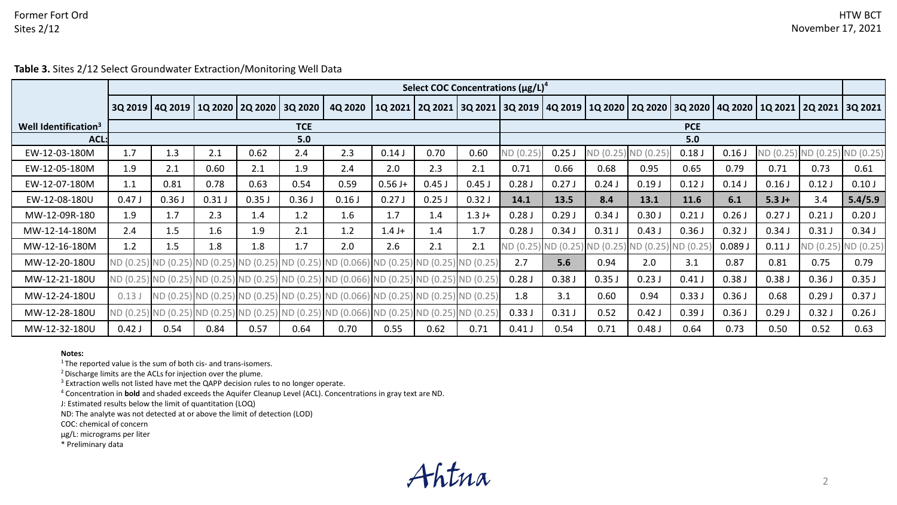### Former Fort Ord Sites 2/12

**Table 3.** Sites 2/12 Select Groundwater Extraction/Monitoring Well Data

|                                  | Select COC Concentrations (µg/L) <sup>4</sup> |       |                                       |       |         |                                                                                            |           |                                                                               |            |           |                               |           |           |            |       |          |                                       |                     |
|----------------------------------|-----------------------------------------------|-------|---------------------------------------|-------|---------|--------------------------------------------------------------------------------------------|-----------|-------------------------------------------------------------------------------|------------|-----------|-------------------------------|-----------|-----------|------------|-------|----------|---------------------------------------|---------------------|
|                                  |                                               |       | 3Q 2019   4Q 2019   1Q 2020   2Q 2020 |       | 3Q 2020 | 4Q 2020                                                                                    |           | 1Q 2021   2Q 2021   3Q 2021   3Q 2019   4Q 2019   1Q 2020   2Q 2020   3Q 2020 |            |           |                               |           |           |            |       |          | 4Q 2020   1Q 2021   2Q 2021   3Q 2021 |                     |
| Well Identification <sup>3</sup> | <b>TCE</b>                                    |       |                                       |       |         |                                                                                            |           |                                                                               | <b>PCE</b> |           |                               |           |           |            |       |          |                                       |                     |
|                                  | $ACL$ :<br>5.0                                |       |                                       |       |         |                                                                                            |           | 5.0                                                                           |            |           |                               |           |           |            |       |          |                                       |                     |
| EW-12-03-180M                    | 1.7                                           | 1.3   | 2.1                                   | 0.62  | 2.4     | 2.3                                                                                        | 0.14J     | 0.70                                                                          | 0.60       | ND (0.25) | 0.25J                         | ND (0.25) | ND (0.25  | 0.18J      | 0.16  |          | ND (0.25) ND (0.25) ND (0.25)         |                     |
| EW-12-05-180M                    | 1.9                                           | 2.1   | 0.60                                  | 2.1   | 1.9     | 2.4                                                                                        | 2.0       | 2.3                                                                           | 2.1        | 0.71      | 0.66                          | 0.68      | 0.95      | 0.65       | 0.79  | 0.71     | 0.73                                  | 0.61                |
| EW-12-07-180M                    | 1.1                                           | 0.81  | 0.78                                  | 0.63  | 0.54    | 0.59                                                                                       | $0.56 J+$ | $0.45$ J                                                                      | $0.45$ J   | 0.28J     | 0.27J                         | 0.24J     | 0.19J     | 0.12J      | 0.14  | 0.16J    | 0.12J                                 | 0.10J               |
| EW-12-08-180U                    | 0.47J                                         | 0.36J | 0.31J                                 | 0.35J | 0.36J   | 0.16J                                                                                      | 0.27J     | $0.25$ J                                                                      | 0.32J      | 14.1      | 13.5                          | 8.4       | 13.1      | 11.6       | 6.1   | $5.3 J+$ | 3.4                                   | 5.4/5.9             |
| MW-12-09R-180                    | 1.9                                           | 1.7   | 2.3                                   | 1.4   | 1.2     | 1.6                                                                                        | 1.7       | 1.4                                                                           | $1.3 J+$   | 0.28J     | 0.29J                         | 0.34J     | 0.30J     | 0.21J      | 0.26J | 0.27J    | 0.21J                                 | 0.20J               |
| MW-12-14-180M                    | 2.4                                           | 1.5   | 1.6                                   | 1.9   | 2.1     | 1.2                                                                                        | $1.4 J+$  | 1.4                                                                           | 1.7        | 0.28J     | 0.34J                         | 0.31J     | 0.43J     | 0.36J      | 0.32J | 0.34J    | 0.31J                                 | 0.34J               |
| MW-12-16-180M                    | 1.2                                           | 1.5   | 1.8                                   | 1.8   | 1.7     | 2.0                                                                                        | 2.6       | 2.1                                                                           | 2.1        |           | ND (0.25) ND (0.25) ND (0.25) |           | ND (0.25) | ) ND (0.25 | 0.089 | 0.11J    |                                       | ND (0.25) ND (0.25) |
| MW-12-20-180U                    |                                               |       |                                       |       |         | ND (0.25) ND (0.25) ND (0.25) ND (0.25) ND (0.25) ND (0.056) ND (0.25) ND (0.25)           |           |                                                                               | ND (0.25)  | 2.7       | 5.6                           | 0.94      | 2.0       | 3.1        | 0.87  | 0.81     | 0.75                                  | 0.79                |
| MW-12-21-180U                    |                                               |       |                                       |       |         | ND (0.25) ND (0.25) ND (0.25) ND (0.25) ND (0.25) ND (0.25) ND (0.066) ND (0.25) ND (0.25) |           |                                                                               | ND(0.25)   | 0.28J     | 0.38J                         | 0.35J     | 0.23J     | 0.41J      | 0.38J | 0.38J    | 0.36J                                 | 0.35J               |
| MW-12-24-180U                    | 0.13J                                         |       |                                       |       |         | ND (0.25) ND (0.25) ND (0.25) ND (0.25) ND (0.066) ND (0.25) ND (0.25) ND (0.25)           |           |                                                                               |            | 1.8       | 3.1                           | 0.60      | 0.94      | 0.33J      | 0.36J | 0.68     | 0.29J                                 | 0.37J               |
| MW-12-28-180U                    |                                               |       |                                       |       |         | ND (0.25) ND (0.25) ND (0.25) ND (0.25) ND (0.25) ND (0.066) ND (0.25) ND (0.25)           |           |                                                                               | ND (0.25)  | 0.33J     | 0.31J                         | 0.52      | 0.42J     | 0.39J      | 0.36J | 0.29J    | 0.32J                                 | 0.26J               |
| MW-12-32-180U                    | 0.42J                                         | 0.54  | 0.84                                  | 0.57  | 0.64    | 0.70                                                                                       | 0.55      | 0.62                                                                          | 0.71       | 0.41J     | 0.54                          | 0.71      | 0.48J     | 0.64       | 0.73  | 0.50     | 0.52                                  | 0.63                |

#### **Notes:**

<sup>1</sup> The reported value is the sum of both cis- and trans-isomers.

2 Discharge limits are the ACLs for injection over the plume.

<sup>3</sup> Extraction wells not listed have met the QAPP decision rules to no longer operate.

<sup>4</sup> Concentration in **bold** and shaded exceeds the Aquifer Cleanup Level (ACL). Concentrations in gray text are ND.

J: Estimated results below the limit of quantitation (LOQ)

ND: The analyte was not detected at or above the limit of detection (LOD)

COC: chemical of concern

µg/L: micrograms per liter

\* Preliminary data

Ahtna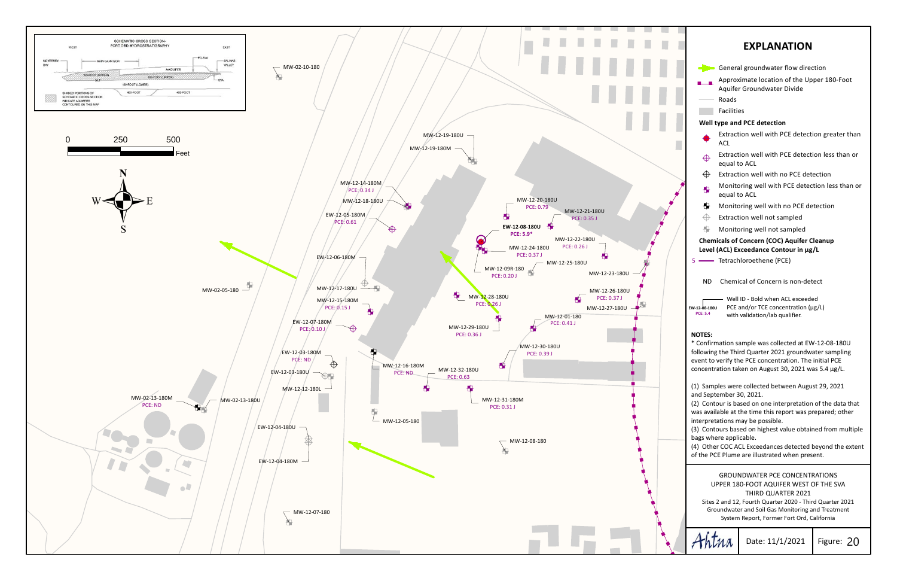



Date: 11/1/2021

Figure: 20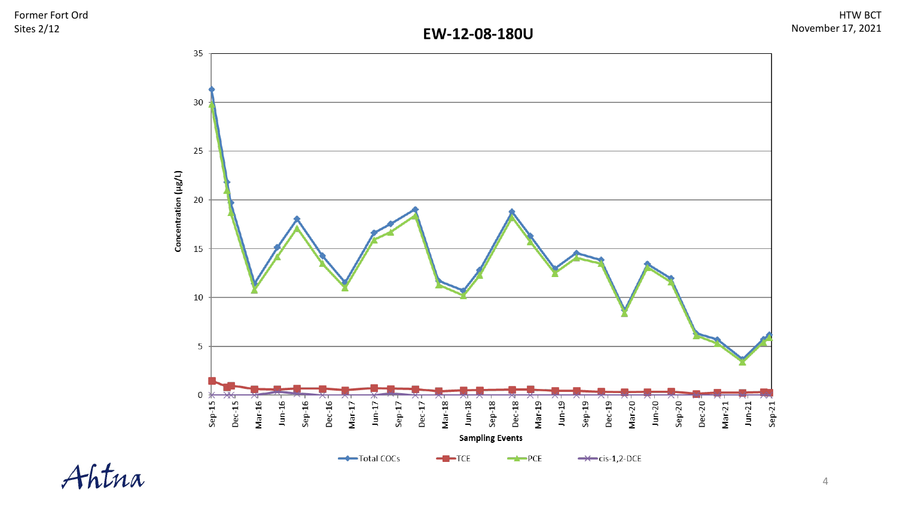Former Fort Ord Sites 2/12

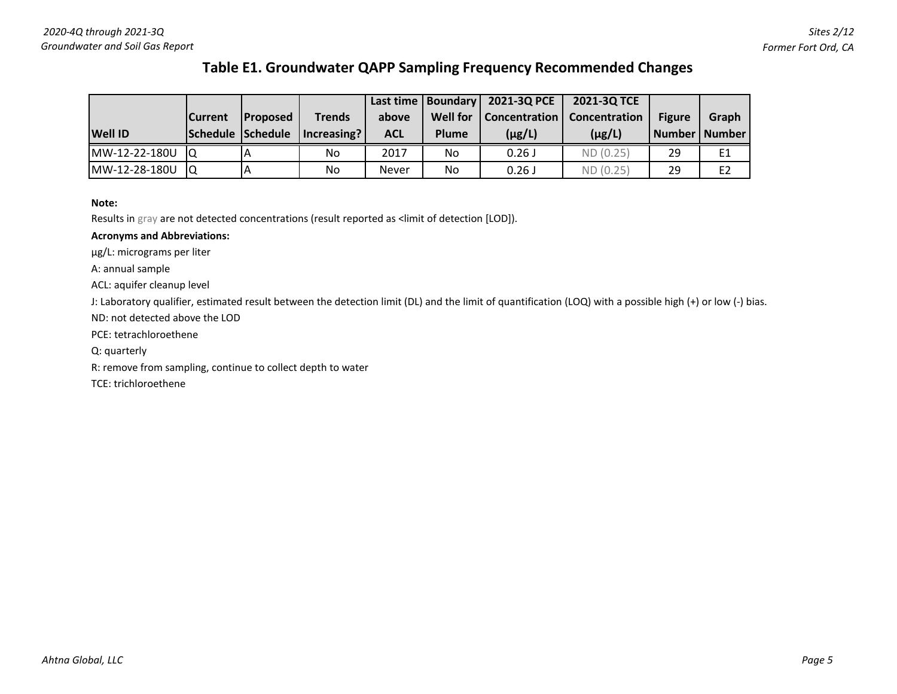## **Table E1. Groundwater QAPP Sampling Frequency Recommended Changes**

|                |                 |                   |                 |              |                 | Last time   Boundary   2021-3Q PCE | 2021-3Q TCE |                 |                |
|----------------|-----------------|-------------------|-----------------|--------------|-----------------|------------------------------------|-------------|-----------------|----------------|
|                | <b>ICurrent</b> | <b>IProposed</b>  | Trends          | above        | <b>Well for</b> | Concentration   Concentration      |             | <b>Figure</b>   | Graph          |
| <b>Well ID</b> |                 | Schedule Schedule | $ $ Increasing? | ACL          | Plume           | $(\mu g/L)$                        | $(\mu g/L)$ | Number   Number |                |
| MW-12-22-180U  | IO              |                   | No.             | 2017         | No.             | 0.26J                              | ND (0.25)   | 29              | E1             |
| MW-12-28-180U  | IO              |                   | No.             | <b>Never</b> | No              | 0.26J                              | ND (0.25)   | 29              | E <sub>2</sub> |

#### **Note:**

Results in gray are not detected concentrations (result reported as <limit of detection [LOD]).

### **Acronyms and Abbreviations:**

µg/L: micrograms per liter

A: annual sample

ACL: aquifer cleanup level

J: Laboratory qualifier, estimated result between the detection limit (DL) and the limit of quantification (LOQ) with a possible high (+) or low (-) bias.

ND: not detected above the LOD

PCE: tetrachloroethene

Q: quarterly

R: remove from sampling, continue to collect depth to water

TCE: trichloroethene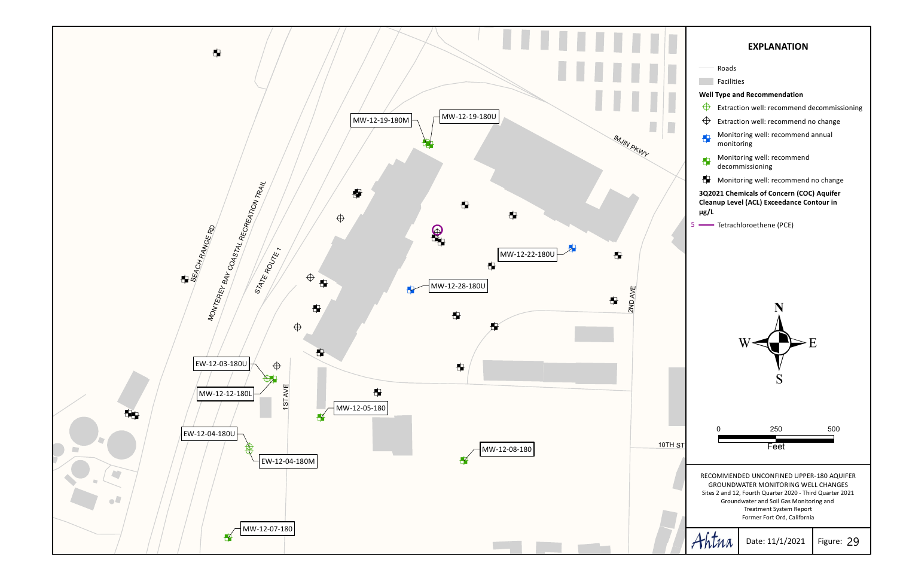

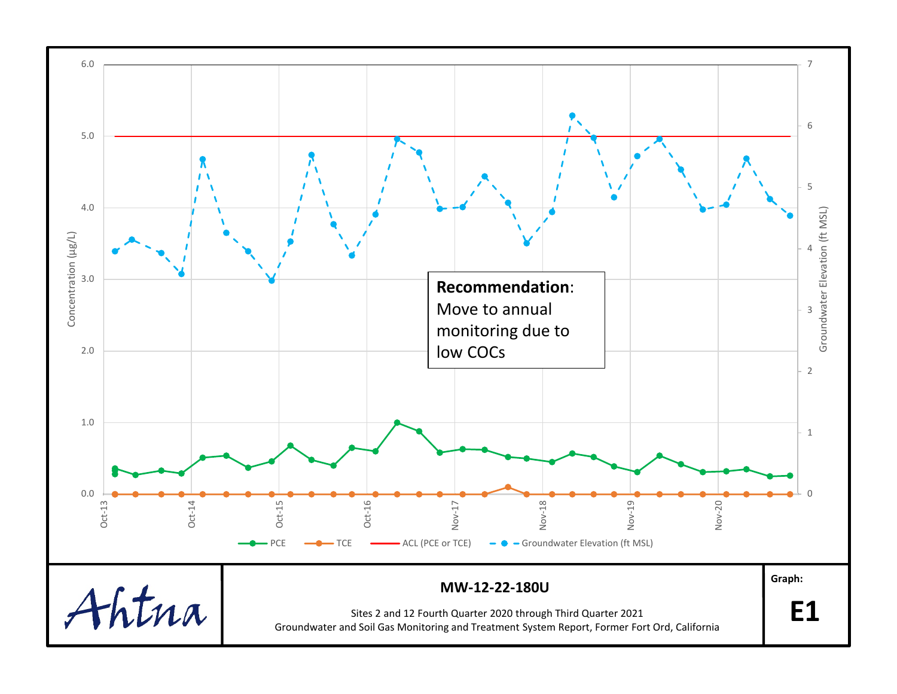